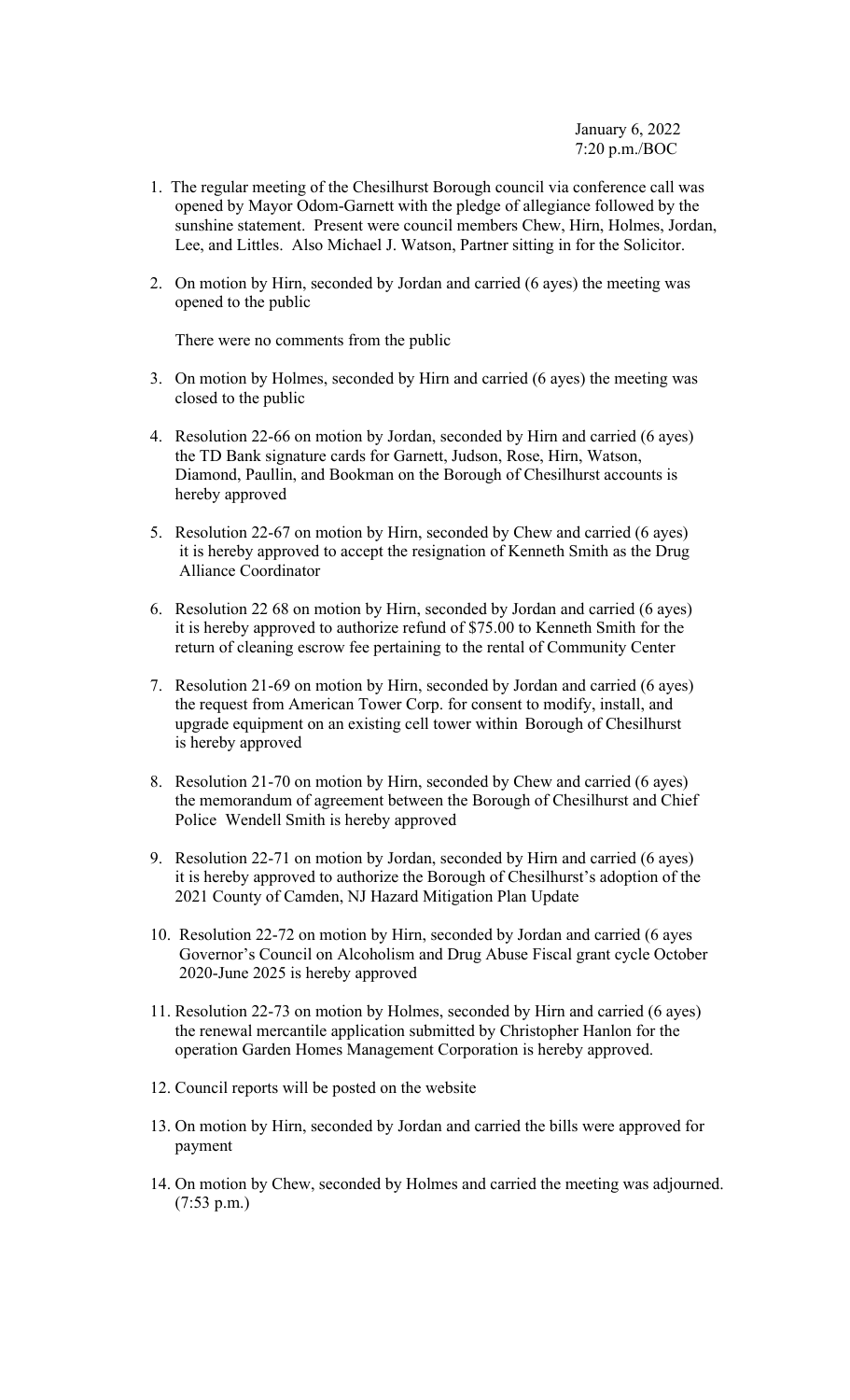- 1. The regular meeting of the Chesilhurst Borough council via conference call was opened by Mayor Odom-Garnett with the pledge of allegiance followed by the sunshine statement. Present were council members Chew, Hirn, Holmes, Jordan, Lee, and Littles. Also Michael J. Watson, Partner sitting in for the Solicitor.
- 2. On motion by Hirn, seconded by Jordan and carried (6 ayes) the meeting was opened to the public

There were no comments from the public

- 3. On motion by Holmes, seconded by Hirn and carried (6 ayes) the meeting was closed to the public
- 4. Resolution 22-66 on motion by Jordan, seconded by Hirn and carried (6 ayes) the TD Bank signature cards for Garnett, Judson, Rose, Hirn, Watson, Diamond, Paullin, and Bookman on the Borough of Chesilhurst accounts is hereby approved
- 5. Resolution 22-67 on motion by Hirn, seconded by Chew and carried (6 ayes) it is hereby approved to accept the resignation of Kenneth Smith as the Drug Alliance Coordinator
- 6. Resolution 22 68 on motion by Hirn, seconded by Jordan and carried (6 ayes) it is hereby approved to authorize refund of \$75.00 to Kenneth Smith for the return of cleaning escrow fee pertaining to the rental of Community Center
- 7. Resolution 21-69 on motion by Hirn, seconded by Jordan and carried (6 ayes) the request from American Tower Corp. for consent to modify, install, and upgrade equipment on an existing cell tower within Borough of Chesilhurst is hereby approved
- 8. Resolution 21-70 on motion by Hirn, seconded by Chew and carried (6 ayes) the memorandum of agreement between the Borough of Chesilhurst and Chief Police Wendell Smith is hereby approved
- 9. Resolution 22-71 on motion by Jordan, seconded by Hirn and carried (6 ayes) it is hereby approved to authorize the Borough of Chesilhurst's adoption of the 2021 County of Camden, NJ Hazard Mitigation Plan Update
- 10. Resolution 22-72 on motion by Hirn, seconded by Jordan and carried (6 ayes Governor's Council on Alcoholism and Drug Abuse Fiscal grant cycle October 2020-June 2025 is hereby approved
- 11. Resolution 22-73 on motion by Holmes, seconded by Hirn and carried (6 ayes) the renewal mercantile application submitted by Christopher Hanlon for the operation Garden Homes Management Corporation is hereby approved.
- 12. Council reports will be posted on the website
- 13. On motion by Hirn, seconded by Jordan and carried the bills were approved for payment
- 14. On motion by Chew, seconded by Holmes and carried the meeting was adjourned. (7:53 p.m.)